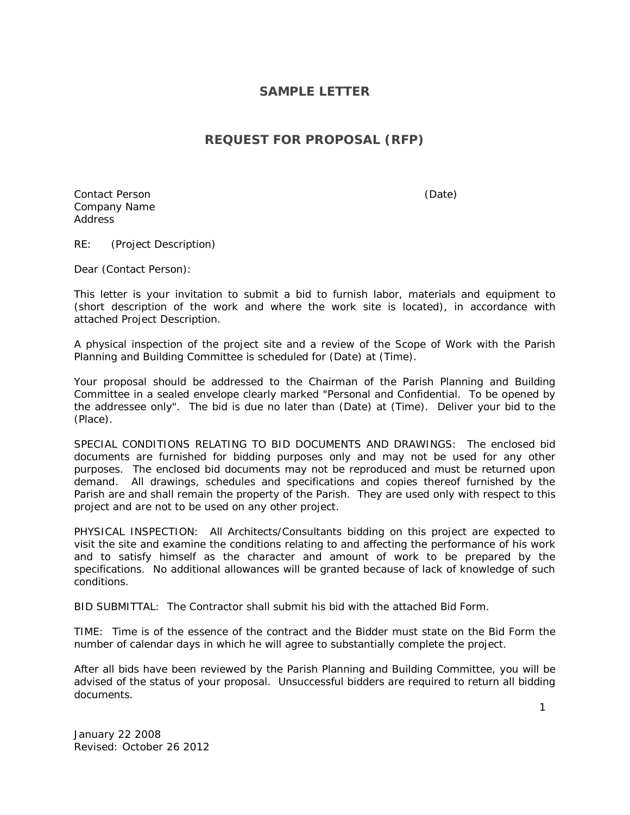## **SAMPLE LETTER**

## **REQUEST FOR PROPOSAL (RFP)**

Contact Person (Date) Company Name Address

RE: (Project Description)

Dear (Contact Person):

This letter is your invitation to submit a bid to furnish labor, materials and equipment to (short description of the work and where the work site is located), in accordance with attached Project Description.

A physical inspection of the project site and a review of the Scope of Work with the Parish Planning and Building Committee is scheduled for (Date) at (Time).

Your proposal should be addressed to the Chairman of the Parish Planning and Building Committee in a sealed envelope clearly marked "Personal and Confidential. To be opened by the addressee only". The bid is due no later than (Date) at (Time). Deliver your bid to the (Place).

SPECIAL CONDITIONS RELATING TO BID DOCUMENTS AND DRAWINGS: The enclosed bid documents are furnished for bidding purposes only and may not be used for any other purposes. The enclosed bid documents may not be reproduced and must be returned upon demand. All drawings, schedules and specifications and copies thereof furnished by the Parish are and shall remain the property of the Parish. They are used only with respect to this project and are not to be used on any other project.

PHYSICAL INSPECTION: All Architects/Consultants bidding on this project are expected to visit the site and examine the conditions relating to and affecting the performance of his work and to satisfy himself as the character and amount of work to be prepared by the specifications. No additional allowances will be granted because of lack of knowledge of such conditions.

BID SUBMITTAL: The Contractor shall submit his bid with the attached Bid Form.

TIME: Time is of the essence of the contract and the Bidder must state on the Bid Form the number of calendar days in which he will agree to substantially complete the project.

After all bids have been reviewed by the Parish Planning and Building Committee, you will be advised of the status of your proposal. Unsuccessful bidders are required to return all bidding documents.

January 22 2008 Revised: October 26 2012